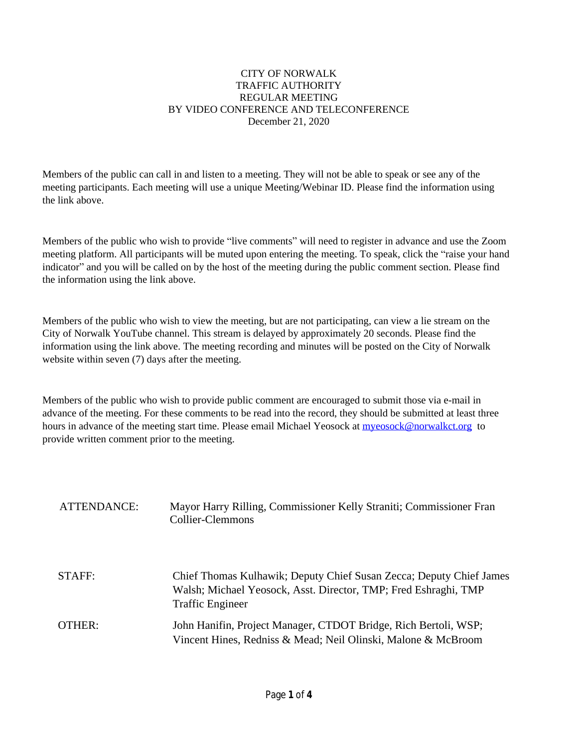#### CITY OF NORWALK TRAFFIC AUTHORITY REGULAR MEETING BY VIDEO CONFERENCE AND TELECONFERENCE December 21, 2020

Members of the public can call in and listen to a meeting. They will not be able to speak or see any of the meeting participants. Each meeting will use a unique Meeting/Webinar ID. Please find the information using the link above.

Members of the public who wish to provide "live comments" will need to register in advance and use the Zoom meeting platform. All participants will be muted upon entering the meeting. To speak, click the "raise your hand indicator" and you will be called on by the host of the meeting during the public comment section. Please find the information using the link above.

Members of the public who wish to view the meeting, but are not participating, can view a lie stream on the City of Norwalk YouTube channel. This stream is delayed by approximately 20 seconds. Please find the information using the link above. The meeting recording and minutes will be posted on the City of Norwalk website within seven (7) days after the meeting.

Members of the public who wish to provide public comment are encouraged to submit those via e-mail in advance of the meeting. For these comments to be read into the record, they should be submitted at least three hours in advance of the meeting start time. Please email Michael Yeosock at **myeosock@norwalkct.org** to provide written comment prior to the meeting.

| ATTENDANCE: | Mayor Harry Rilling, Commissioner Kelly Straniti; Commissioner Fran<br>Collier-Clemmons                                                                           |
|-------------|-------------------------------------------------------------------------------------------------------------------------------------------------------------------|
| STAFF:      | Chief Thomas Kulhawik; Deputy Chief Susan Zecca; Deputy Chief James<br>Walsh; Michael Yeosock, Asst. Director, TMP; Fred Eshraghi, TMP<br><b>Traffic Engineer</b> |
| OTHER:      | John Hanifin, Project Manager, CTDOT Bridge, Rich Bertoli, WSP;<br>Vincent Hines, Redniss & Mead; Neil Olinski, Malone & McBroom                                  |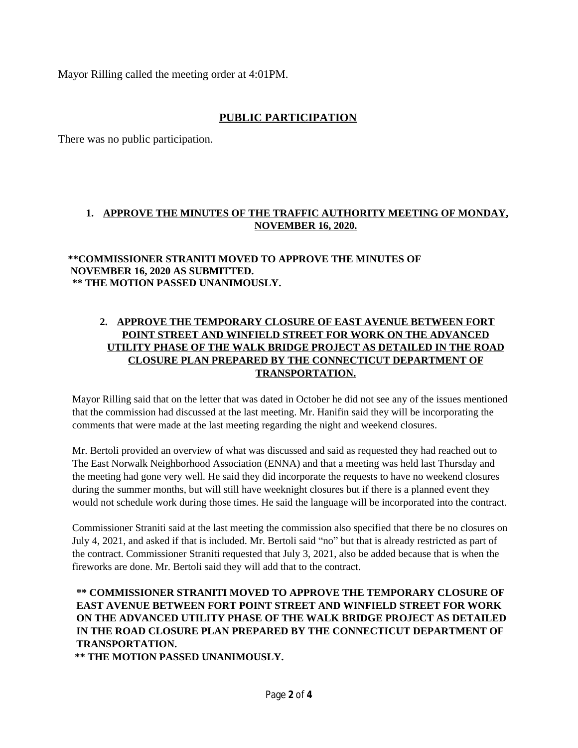Mayor Rilling called the meeting order at 4:01PM.

# **PUBLIC PARTICIPATION**

There was no public participation.

# **1. APPROVE THE MINUTES OF THE TRAFFIC AUTHORITY MEETING OF MONDAY, NOVEMBER 16, 2020.**

#### **\*\*COMMISSIONER STRANITI MOVED TO APPROVE THE MINUTES OF NOVEMBER 16, 2020 AS SUBMITTED. \*\* THE MOTION PASSED UNANIMOUSLY.**

# **2. APPROVE THE TEMPORARY CLOSURE OF EAST AVENUE BETWEEN FORT POINT STREET AND WINFIELD STREET FOR WORK ON THE ADVANCED UTILITY PHASE OF THE WALK BRIDGE PROJECT AS DETAILED IN THE ROAD CLOSURE PLAN PREPARED BY THE CONNECTICUT DEPARTMENT OF TRANSPORTATION.**

Mayor Rilling said that on the letter that was dated in October he did not see any of the issues mentioned that the commission had discussed at the last meeting. Mr. Hanifin said they will be incorporating the comments that were made at the last meeting regarding the night and weekend closures.

Mr. Bertoli provided an overview of what was discussed and said as requested they had reached out to The East Norwalk Neighborhood Association (ENNA) and that a meeting was held last Thursday and the meeting had gone very well. He said they did incorporate the requests to have no weekend closures during the summer months, but will still have weeknight closures but if there is a planned event they would not schedule work during those times. He said the language will be incorporated into the contract.

Commissioner Straniti said at the last meeting the commission also specified that there be no closures on July 4, 2021, and asked if that is included. Mr. Bertoli said "no" but that is already restricted as part of the contract. Commissioner Straniti requested that July 3, 2021, also be added because that is when the fireworks are done. Mr. Bertoli said they will add that to the contract.

# **\*\* COMMISSIONER STRANITI MOVED TO APPROVE THE TEMPORARY CLOSURE OF EAST AVENUE BETWEEN FORT POINT STREET AND WINFIELD STREET FOR WORK ON THE ADVANCED UTILITY PHASE OF THE WALK BRIDGE PROJECT AS DETAILED IN THE ROAD CLOSURE PLAN PREPARED BY THE CONNECTICUT DEPARTMENT OF TRANSPORTATION.**

**\*\* THE MOTION PASSED UNANIMOUSLY.**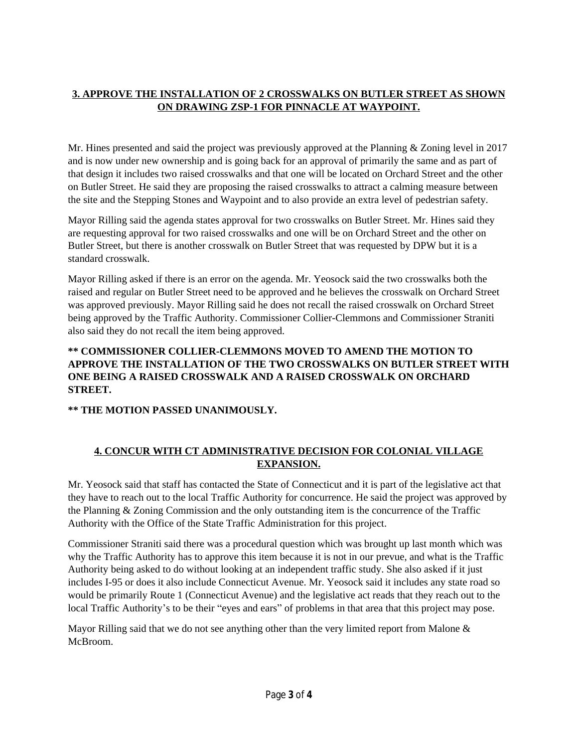# **3. APPROVE THE INSTALLATION OF 2 CROSSWALKS ON BUTLER STREET AS SHOWN ON DRAWING ZSP-1 FOR PINNACLE AT WAYPOINT.**

Mr. Hines presented and said the project was previously approved at the Planning & Zoning level in 2017 and is now under new ownership and is going back for an approval of primarily the same and as part of that design it includes two raised crosswalks and that one will be located on Orchard Street and the other on Butler Street. He said they are proposing the raised crosswalks to attract a calming measure between the site and the Stepping Stones and Waypoint and to also provide an extra level of pedestrian safety.

Mayor Rilling said the agenda states approval for two crosswalks on Butler Street. Mr. Hines said they are requesting approval for two raised crosswalks and one will be on Orchard Street and the other on Butler Street, but there is another crosswalk on Butler Street that was requested by DPW but it is a standard crosswalk.

Mayor Rilling asked if there is an error on the agenda. Mr. Yeosock said the two crosswalks both the raised and regular on Butler Street need to be approved and he believes the crosswalk on Orchard Street was approved previously. Mayor Rilling said he does not recall the raised crosswalk on Orchard Street being approved by the Traffic Authority. Commissioner Collier-Clemmons and Commissioner Straniti also said they do not recall the item being approved.

### **\*\* COMMISSIONER COLLIER-CLEMMONS MOVED TO AMEND THE MOTION TO APPROVE THE INSTALLATION OF THE TWO CROSSWALKS ON BUTLER STREET WITH ONE BEING A RAISED CROSSWALK AND A RAISED CROSSWALK ON ORCHARD STREET.**

**\*\* THE MOTION PASSED UNANIMOUSLY.**

# **4. CONCUR WITH CT ADMINISTRATIVE DECISION FOR COLONIAL VILLAGE EXPANSION.**

Mr. Yeosock said that staff has contacted the State of Connecticut and it is part of the legislative act that they have to reach out to the local Traffic Authority for concurrence. He said the project was approved by the Planning & Zoning Commission and the only outstanding item is the concurrence of the Traffic Authority with the Office of the State Traffic Administration for this project.

Commissioner Straniti said there was a procedural question which was brought up last month which was why the Traffic Authority has to approve this item because it is not in our prevue, and what is the Traffic Authority being asked to do without looking at an independent traffic study. She also asked if it just includes I-95 or does it also include Connecticut Avenue. Mr. Yeosock said it includes any state road so would be primarily Route 1 (Connecticut Avenue) and the legislative act reads that they reach out to the local Traffic Authority's to be their "eyes and ears" of problems in that area that this project may pose.

Mayor Rilling said that we do not see anything other than the very limited report from Malone & McBroom.